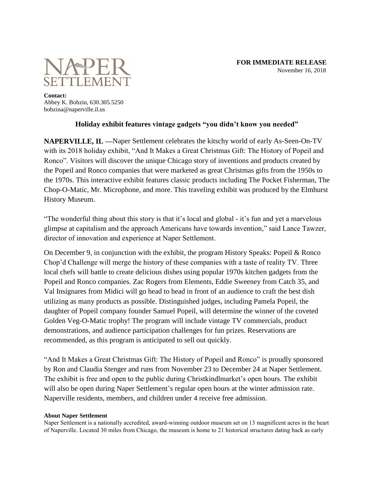

**Contact:** Abbey K. Bobzin, 630.305.5250 bobzina@naperville.il.us

## **Holiday exhibit features vintage gadgets "you didn't know you needed"**

**NAPERVILLE, IL —**Naper Settlement celebrates the kitschy world of early As-Seen-On-TV with its 2018 holiday exhibit, "And It Makes a Great Christmas Gift: The History of Popeil and Ronco". Visitors will discover the unique Chicago story of inventions and products created by the Popeil and Ronco companies that were marketed as great Christmas gifts from the 1950s to the 1970s. This interactive exhibit features classic products including The Pocket Fisherman, The Chop-O-Matic, Mr. Microphone, and more. This traveling exhibit was produced by the Elmhurst History Museum.

"The wonderful thing about this story is that it's local and global - it's fun and yet a marvelous glimpse at capitalism and the approach Americans have towards invention," said Lance Tawzer, director of innovation and experience at Naper Settlement.

On December 9, in conjunction with the exhibit, the program History Speaks: Popeil & Ronco Chop'd Challenge will merge the history of these companies with a taste of reality TV. Three local chefs will battle to create delicious dishes using popular 1970s kitchen gadgets from the Popeil and Ronco companies. Zac Rogers from Elements, Eddie Sweeney from Catch 35, and Val Insignares from Midici will go head to head in front of an audience to craft the best dish utilizing as many products as possible. Distinguished judges, including Pamela Popeil, the daughter of Popeil company founder Samuel Popeil, will determine the winner of the coveted Golden Veg-O-Matic trophy! The program will include vintage TV commercials, product demonstrations, and audience participation challenges for fun prizes. Reservations are recommended, as this program is anticipated to sell out quickly.

"And It Makes a Great Christmas Gift: The History of Popeil and Ronco" is proudly sponsored by Ron and Claudia Stenger and runs from November 23 to December 24 at Naper Settlement. The exhibit is free and open to the public during Christkindlmarket's open hours. The exhibit will also be open during Naper Settlement's regular open hours at the winter admission rate. Naperville residents, members, and children under 4 receive free admission.

## **About Naper Settlement**

Naper Settlement is a nationally accredited, award-winning outdoor museum set on 13 magnificent acres in the heart of Naperville. Located 30 miles from Chicago, the museum is home to 21 historical structures dating back as early